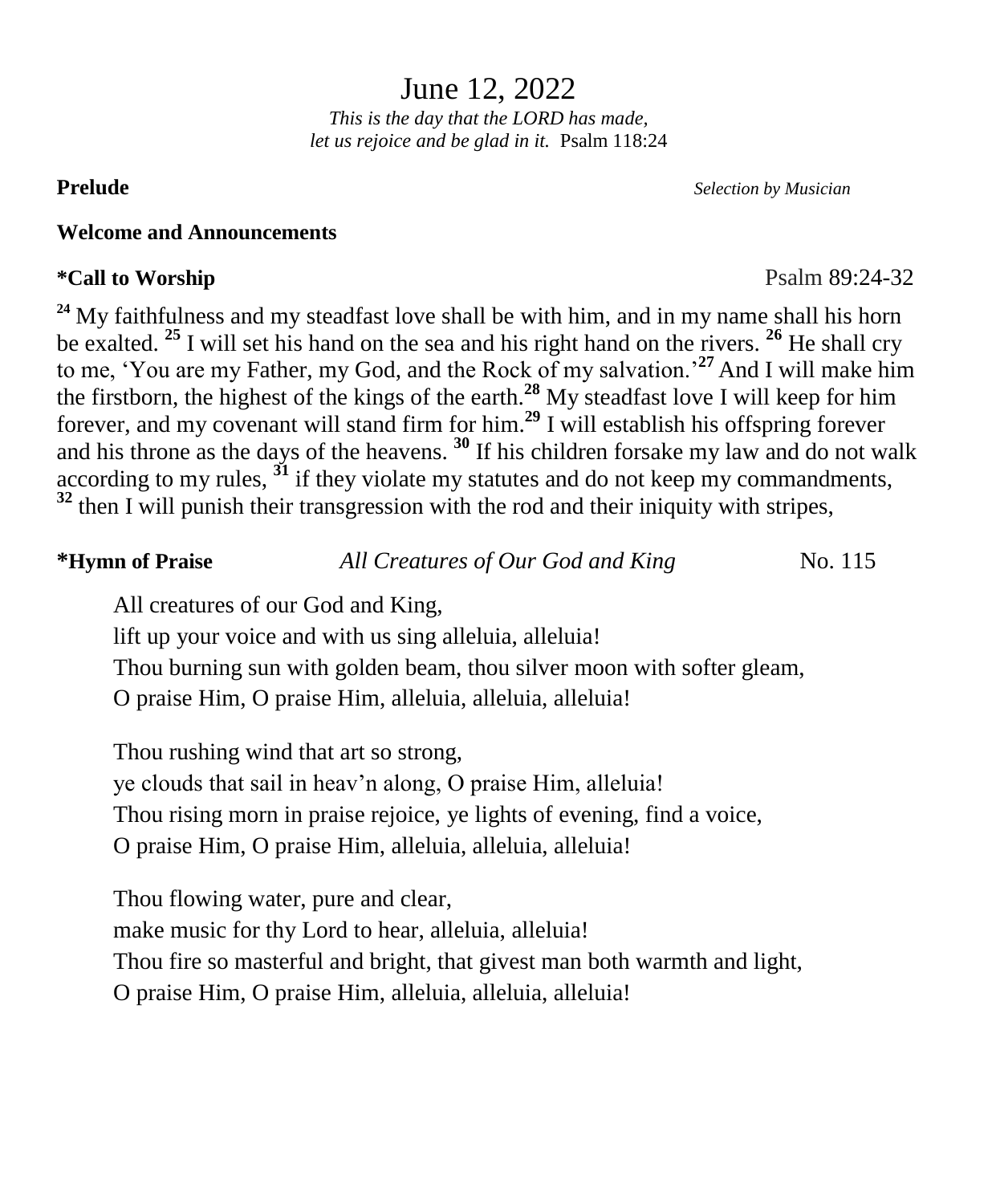June 12, 2022

*This is the day that the LORD has made, let us rejoice and be glad in it.* Psalm 118:24

#### **Welcome and Announcements**

### **\*Call to Worship** Psalm 89:24-32

<sup>24</sup> My faithfulness and my steadfast love shall be with him, and in my name shall his horn be exalted. **<sup>25</sup>** I will set his hand on the sea and his right hand on the rivers. **<sup>26</sup>** He shall cry to me, 'You are my Father, my God, and the Rock of my salvation.'**<sup>27</sup>** And I will make him the firstborn, the highest of the kings of the earth.<sup>28</sup> My steadfast love I will keep for him forever, and my covenant will stand firm for him.**<sup>29</sup>** I will establish his offspring forever and his throne as the days of the heavens. **<sup>30</sup>** If his children forsake my law and do not walk according to my rules,  $\tilde{3}$  if they violate my statutes and do not keep my commandments, **<sup>32</sup>** then I will punish their transgression with the rod and their iniquity with stripes,

| <i><b>*Hymn of Praise</b></i>      | All Creatures of Our God and King                                      | No. 115 |
|------------------------------------|------------------------------------------------------------------------|---------|
| All creatures of our God and King, |                                                                        |         |
|                                    | lift up your voice and with us sing alleluia, alleluia!                |         |
|                                    | Thou burning sun with golden beam, thou silver moon with softer gleam, |         |

O praise Him, O praise Him, alleluia, alleluia, alleluia!

Thou rushing wind that art so strong,

ye clouds that sail in heav'n along, O praise Him, alleluia!

Thou rising morn in praise rejoice, ye lights of evening, find a voice,

O praise Him, O praise Him, alleluia, alleluia, alleluia!

Thou flowing water, pure and clear, make music for thy Lord to hear, alleluia, alleluia! Thou fire so masterful and bright, that givest man both warmth and light, O praise Him, O praise Him, alleluia, alleluia, alleluia!

**Prelude** *Selection by Musician*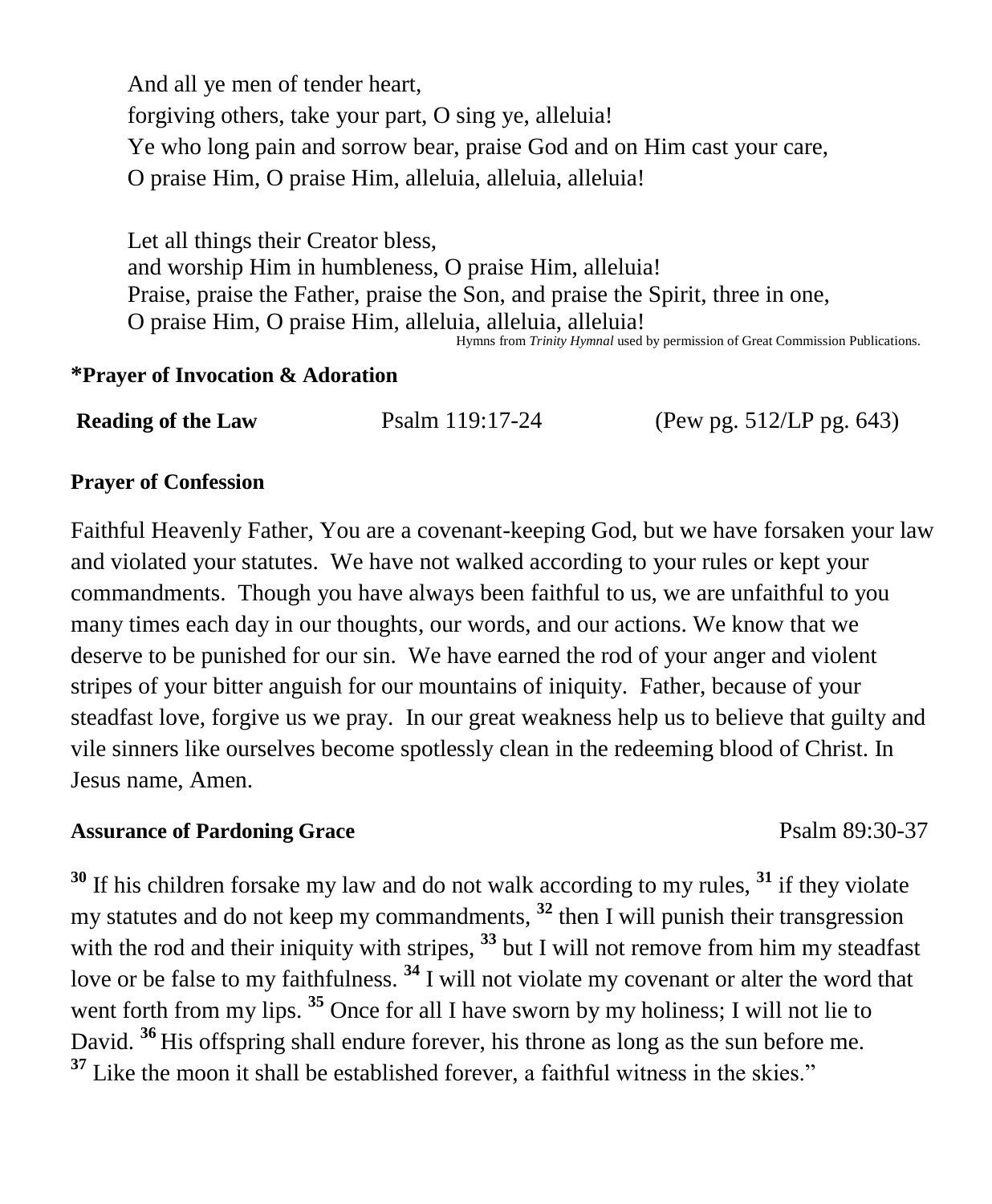And all ye men of tender heart, forgiving others, take your part, O sing ye, alleluia! Ye who long pain and sorrow bear, praise God and on Him cast your care, O praise Him, O praise Him, alleluia, alleluia, alleluia!

Let all things their Creator bless, and worship Him in humbleness, O praise Him, alleluia! Praise, praise the Father, praise the Son, and praise the Spirit, three in one, O praise Him, O praise Him, alleluia, alleluia, alleluia! Hymns from *Trinity Hymnal* used by permission of Great Commission Publications.

#### **\*Prayer of Invocation & Adoration**

| <b>Reading of the Law</b> | Psalm 119:17-24 | (Pew pg. 512/LP pg. 643) |
|---------------------------|-----------------|--------------------------|
|---------------------------|-----------------|--------------------------|

#### **Prayer of Confession**

Faithful Heavenly Father, You are a covenant-keeping God, but we have forsaken your law and violated your statutes. We have not walked according to your rules or kept your commandments. Though you have always been faithful to us, we are unfaithful to you many times each day in our thoughts, our words, and our actions. We know that we deserve to be punished for our sin. We have earned the rod of your anger and violent stripes of your bitter anguish for our mountains of iniquity. Father, because of your steadfast love, forgive us we pray. In our great weakness help us to believe that guilty and vile sinners like ourselves become spotlessly clean in the redeeming blood of Christ. In Jesus name, Amen.

#### **Assurance of Pardoning Grace**  Psalm 89:30-37

**<sup>30</sup>** If his children forsake my law and do not walk according to my rules, **<sup>31</sup>** if they violate my statutes and do not keep my commandments, **<sup>32</sup>** then I will punish their transgression with the rod and their iniquity with stripes, <sup>33</sup> but I will not remove from him my steadfast love or be false to my faithfulness. **<sup>34</sup>** I will not violate my covenant or alter the word that went forth from my lips. <sup>35</sup> Once for all I have sworn by my holiness; I will not lie to David. **<sup>36</sup>** His offspring shall endure forever, his throne as long as the sun before me. **<sup>37</sup>** Like the moon it shall be established forever, a faithful witness in the skies."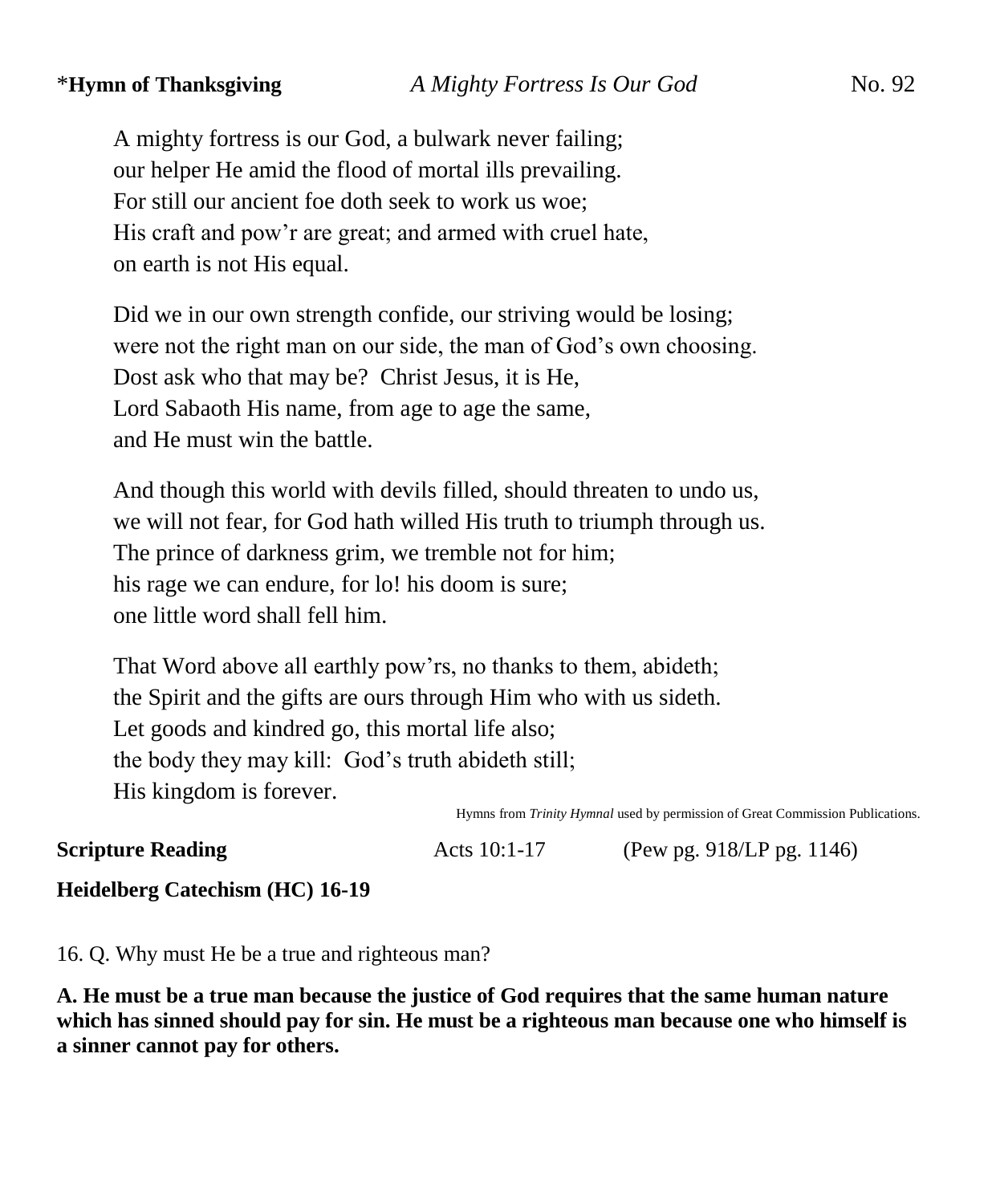A mighty fortress is our God, a bulwark never failing; our helper He amid the flood of mortal ills prevailing. For still our ancient foe doth seek to work us woe; His craft and pow'r are great; and armed with cruel hate, on earth is not His equal.

Did we in our own strength confide, our striving would be losing; were not the right man on our side, the man of God's own choosing. Dost ask who that may be? Christ Jesus, it is He, Lord Sabaoth His name, from age to age the same, and He must win the battle.

And though this world with devils filled, should threaten to undo us, we will not fear, for God hath willed His truth to triumph through us. The prince of darkness grim, we tremble not for him; his rage we can endure, for lo! his doom is sure; one little word shall fell him.

That Word above all earthly pow'rs, no thanks to them, abideth; the Spirit and the gifts are ours through Him who with us sideth. Let goods and kindred go, this mortal life also; the body they may kill: God's truth abideth still; His kingdom is forever.

Hymns from *Trinity Hymnal* used by permission of Great Commission Publications.

**Scripture Reading Acts 10:1-17** (Pew pg. 918/LP pg. 1146)

**Heidelberg Catechism (HC) 16-19**

16. Q. Why must He be a true and righteous man?

**A. He must be a true man because the justice of God requires that the same human nature which has sinned should pay for sin. He must be a righteous man because one who himself is a sinner cannot pay for others.**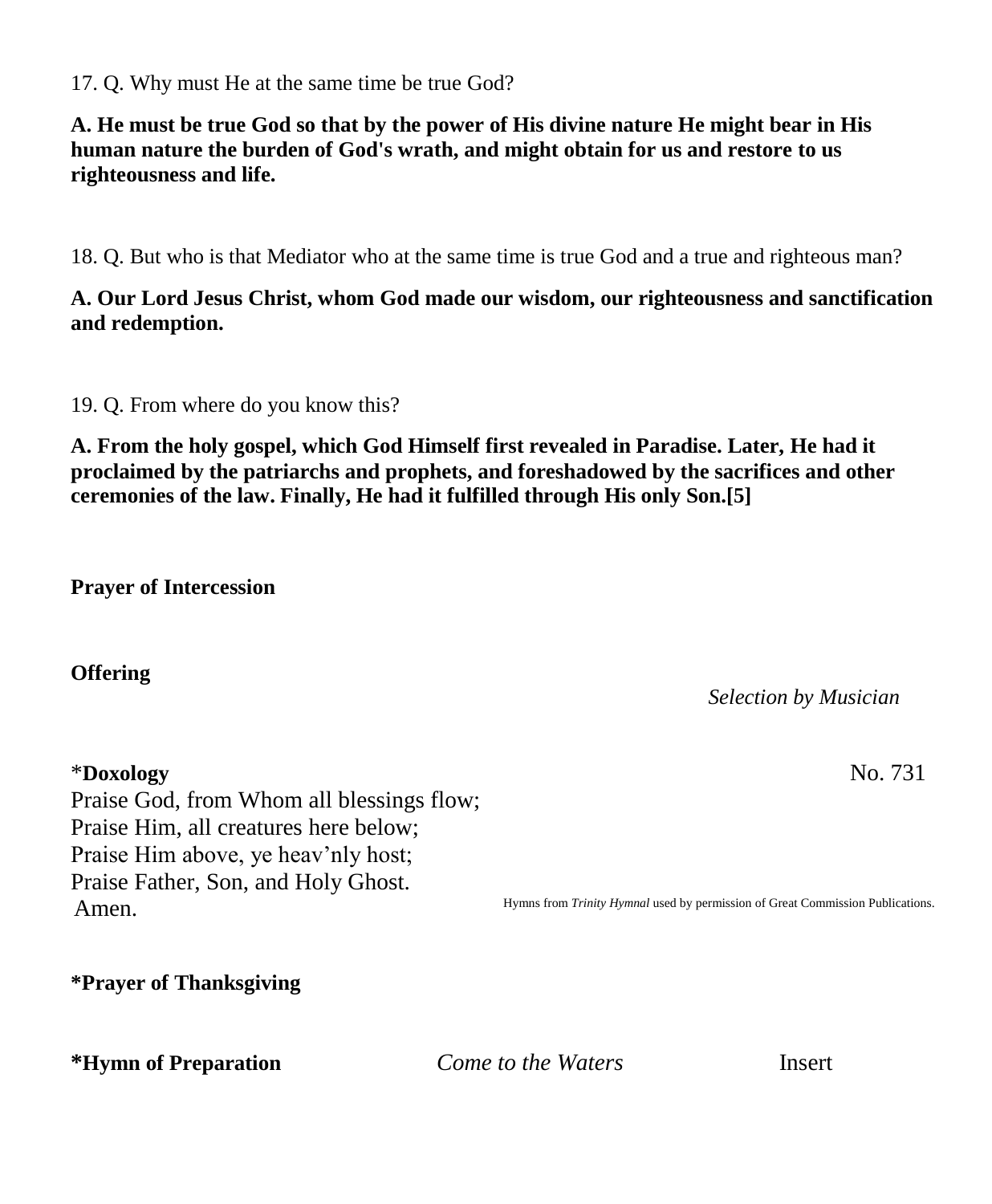17. Q. Why must He at the same time be true God?

**A. He must be true God so that by the power of His divine nature He might bear in His human nature the burden of God's wrath, and might obtain for us and restore to us righteousness and life.**

18. Q. But who is that Mediator who at the same time is true God and a true and righteous man?

## **A. Our Lord Jesus Christ, whom God made our wisdom, our righteousness and sanctification and redemption.**

19. Q. From where do you know this?

**A. From the holy gospel, which God Himself first revealed in Paradise. Later, He had it proclaimed by the patriarchs and prophets, and foreshadowed by the sacrifices and other ceremonies of the law. Finally, He had it fulfilled through His only Son.[5]**

**Prayer of Intercession**

**Offering**

Praise God, from Whom all blessings flow; Praise Him, all creatures here below; Praise Him above, ye heav'nly host; Praise Father, Son, and Holy Ghost. Amen.

*Selection by Musician*

\***Doxology** No. 731

Hymns from *Trinity Hymnal* used by permission of Great Commission Publications.

**\*Prayer of Thanksgiving**

**\*Hymn of Preparation** *Come to the Waters* Insert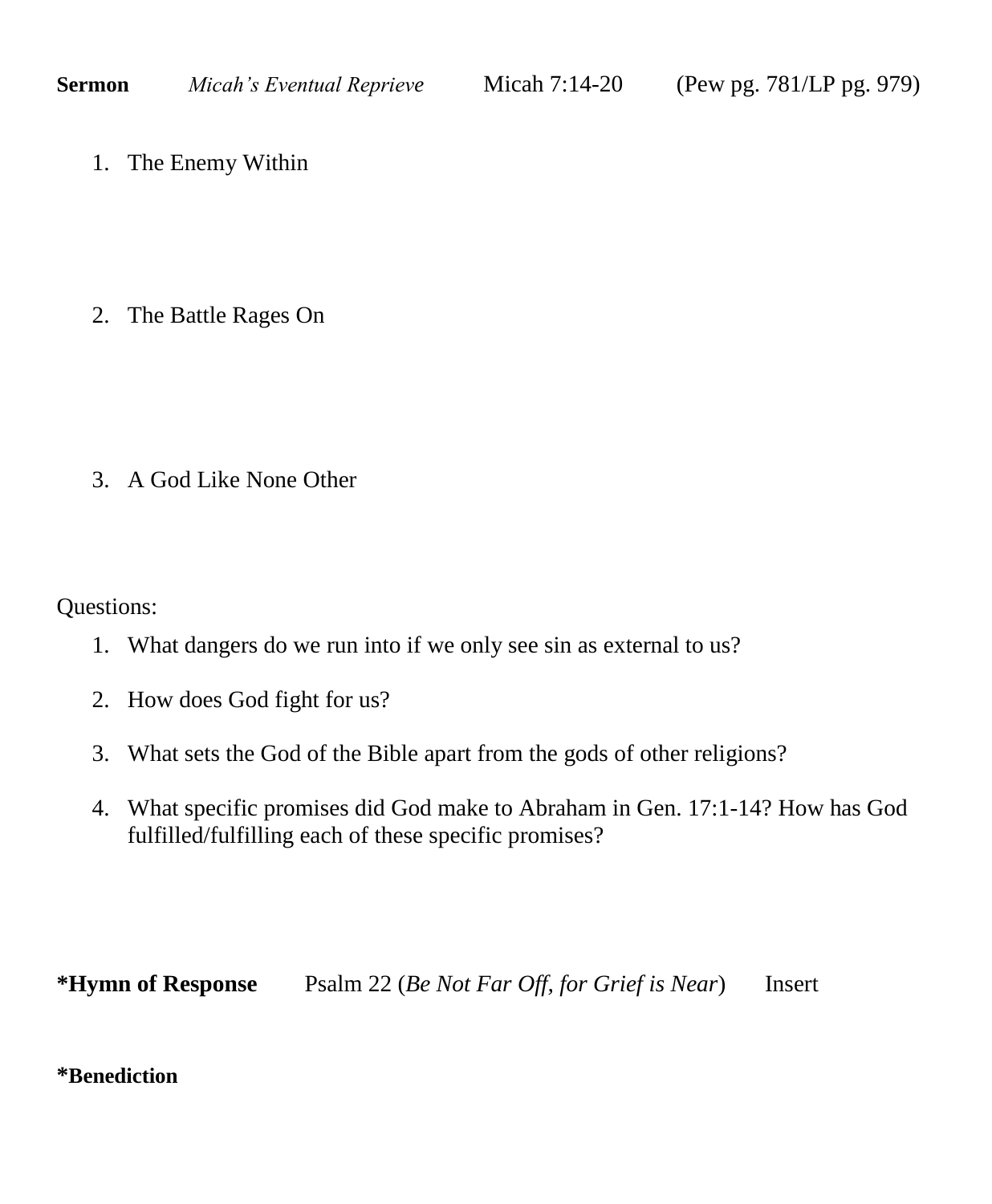1. The Enemy Within

2. The Battle Rages On

3. A God Like None Other

Questions:

- 1. What dangers do we run into if we only see sin as external to us?
- 2. How does God fight for us?
- 3. What sets the God of the Bible apart from the gods of other religions?
- 4. What specific promises did God make to Abraham in Gen. 17:1-14? How has God fulfilled/fulfilling each of these specific promises?

**\*Hymn of Response** Psalm 22 (*Be Not Far Off, for Grief is Near*) Insert

## **\*Benediction**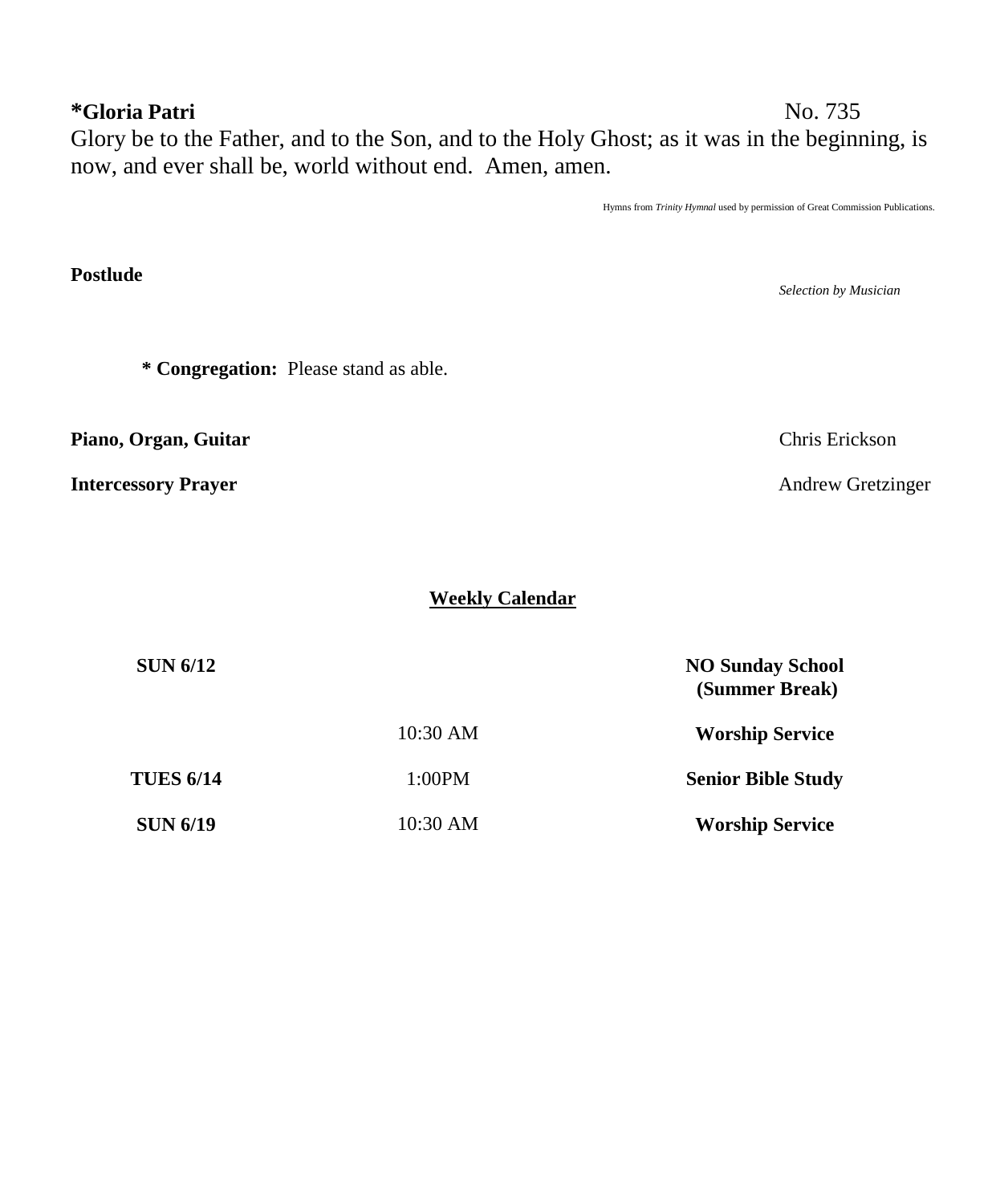# **\*Gloria Patri** No. 735

**Postlude** 

Glory be to the Father, and to the Son, and to the Holy Ghost; as it was in the beginning, is now, and ever shall be, world without end. Amen, amen.

Hymns from *Trinity Hymnal* used by permission of Great Commission Publications.

*Selection by Musician* **\* Congregation:** Please stand as able. **Piano, Organ, Guitar** Chris Erickson **Intercessory Prayer** Andrew Gretzinger

**Weekly Calendar**

| <b>SUN 6/12</b>  |          | <b>NO Sunday School</b><br>(Summer Break) |
|------------------|----------|-------------------------------------------|
|                  | 10:30 AM | <b>Worship Service</b>                    |
| <b>TUES 6/14</b> | 1:00PM   | <b>Senior Bible Study</b>                 |
| <b>SUN 6/19</b>  | 10:30 AM | <b>Worship Service</b>                    |